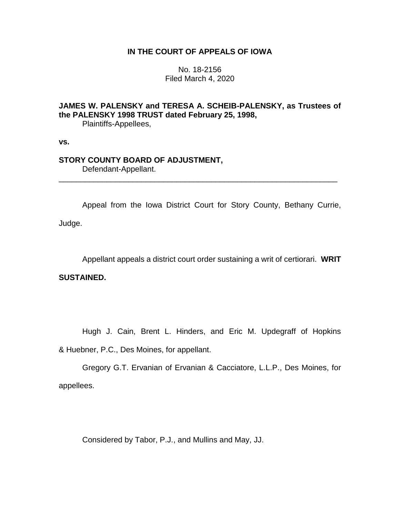# **IN THE COURT OF APPEALS OF IOWA**

No. 18-2156 Filed March 4, 2020

# **JAMES W. PALENSKY and TERESA A. SCHEIB-PALENSKY, as Trustees of the PALENSKY 1998 TRUST dated February 25, 1998,**

Plaintiffs-Appellees,

**vs.**

# **STORY COUNTY BOARD OF ADJUSTMENT,**

Defendant-Appellant.

Appeal from the Iowa District Court for Story County, Bethany Currie, Judge.

\_\_\_\_\_\_\_\_\_\_\_\_\_\_\_\_\_\_\_\_\_\_\_\_\_\_\_\_\_\_\_\_\_\_\_\_\_\_\_\_\_\_\_\_\_\_\_\_\_\_\_\_\_\_\_\_\_\_\_\_\_\_\_\_

Appellant appeals a district court order sustaining a writ of certiorari. **WRIT** 

**SUSTAINED.** 

Hugh J. Cain, Brent L. Hinders, and Eric M. Updegraff of Hopkins

& Huebner, P.C., Des Moines, for appellant.

Gregory G.T. Ervanian of Ervanian & Cacciatore, L.L.P., Des Moines, for appellees.

Considered by Tabor, P.J., and Mullins and May, JJ.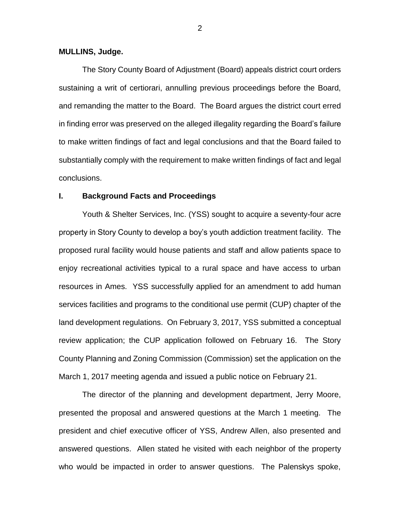## **MULLINS, Judge.**

The Story County Board of Adjustment (Board) appeals district court orders sustaining a writ of certiorari, annulling previous proceedings before the Board, and remanding the matter to the Board. The Board argues the district court erred in finding error was preserved on the alleged illegality regarding the Board's failure to make written findings of fact and legal conclusions and that the Board failed to substantially comply with the requirement to make written findings of fact and legal conclusions.

#### **I. Background Facts and Proceedings**

Youth & Shelter Services, Inc. (YSS) sought to acquire a seventy-four acre property in Story County to develop a boy's youth addiction treatment facility. The proposed rural facility would house patients and staff and allow patients space to enjoy recreational activities typical to a rural space and have access to urban resources in Ames. YSS successfully applied for an amendment to add human services facilities and programs to the conditional use permit (CUP) chapter of the land development regulations. On February 3, 2017, YSS submitted a conceptual review application; the CUP application followed on February 16. The Story County Planning and Zoning Commission (Commission) set the application on the March 1, 2017 meeting agenda and issued a public notice on February 21.

The director of the planning and development department, Jerry Moore, presented the proposal and answered questions at the March 1 meeting. The president and chief executive officer of YSS, Andrew Allen, also presented and answered questions. Allen stated he visited with each neighbor of the property who would be impacted in order to answer questions. The Palenskys spoke,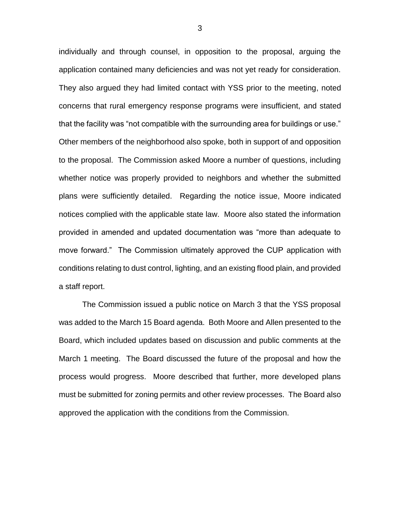individually and through counsel, in opposition to the proposal, arguing the application contained many deficiencies and was not yet ready for consideration. They also argued they had limited contact with YSS prior to the meeting, noted concerns that rural emergency response programs were insufficient, and stated that the facility was "not compatible with the surrounding area for buildings or use." Other members of the neighborhood also spoke, both in support of and opposition to the proposal. The Commission asked Moore a number of questions, including whether notice was properly provided to neighbors and whether the submitted plans were sufficiently detailed. Regarding the notice issue, Moore indicated notices complied with the applicable state law. Moore also stated the information provided in amended and updated documentation was "more than adequate to move forward." The Commission ultimately approved the CUP application with conditions relating to dust control, lighting, and an existing flood plain, and provided a staff report.

The Commission issued a public notice on March 3 that the YSS proposal was added to the March 15 Board agenda. Both Moore and Allen presented to the Board, which included updates based on discussion and public comments at the March 1 meeting. The Board discussed the future of the proposal and how the process would progress. Moore described that further, more developed plans must be submitted for zoning permits and other review processes. The Board also approved the application with the conditions from the Commission.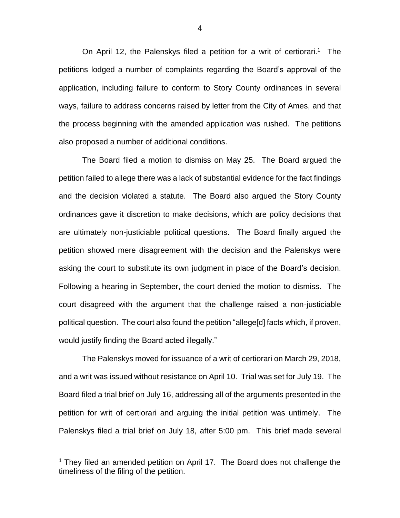On April 12, the Palenskys filed a petition for a writ of certiorari.<sup>1</sup> The petitions lodged a number of complaints regarding the Board's approval of the application, including failure to conform to Story County ordinances in several ways, failure to address concerns raised by letter from the City of Ames, and that the process beginning with the amended application was rushed. The petitions also proposed a number of additional conditions.

The Board filed a motion to dismiss on May 25. The Board argued the petition failed to allege there was a lack of substantial evidence for the fact findings and the decision violated a statute. The Board also argued the Story County ordinances gave it discretion to make decisions, which are policy decisions that are ultimately non-justiciable political questions. The Board finally argued the petition showed mere disagreement with the decision and the Palenskys were asking the court to substitute its own judgment in place of the Board's decision. Following a hearing in September, the court denied the motion to dismiss. The court disagreed with the argument that the challenge raised a non-justiciable political question. The court also found the petition "allege[d] facts which, if proven, would justify finding the Board acted illegally."

The Palenskys moved for issuance of a writ of certiorari on March 29, 2018, and a writ was issued without resistance on April 10. Trial was set for July 19. The Board filed a trial brief on July 16, addressing all of the arguments presented in the petition for writ of certiorari and arguing the initial petition was untimely. The Palenskys filed a trial brief on July 18, after 5:00 pm. This brief made several

 $\overline{a}$ 

 $1$  They filed an amended petition on April 17. The Board does not challenge the timeliness of the filing of the petition.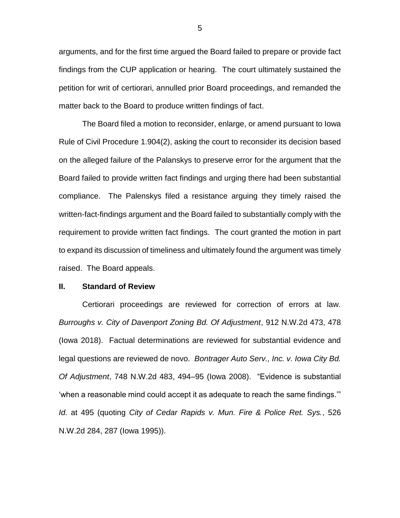arguments, and for the first time argued the Board failed to prepare or provide fact findings from the CUP application or hearing. The court ultimately sustained the petition for writ of certiorari, annulled prior Board proceedings, and remanded the matter back to the Board to produce written findings of fact.

The Board filed a motion to reconsider, enlarge, or amend pursuant to Iowa Rule of Civil Procedure 1.904(2), asking the court to reconsider its decision based on the alleged failure of the Palanskys to preserve error for the argument that the Board failed to provide written fact findings and urging there had been substantial compliance. The Palenskys filed a resistance arguing they timely raised the written-fact-findings argument and the Board failed to substantially comply with the requirement to provide written fact findings. The court granted the motion in part to expand its discussion of timeliness and ultimately found the argument was timely raised. The Board appeals.

#### **II. Standard of Review**

Certiorari proceedings are reviewed for correction of errors at law. *Burroughs v. City of Davenport Zoning Bd. Of Adjustment*, 912 N.W.2d 473, 478 (Iowa 2018). Factual determinations are reviewed for substantial evidence and legal questions are reviewed de novo. *Bontrager Auto Serv., Inc. v. Iowa City Bd. Of Adjustment*, 748 N.W.2d 483, 494–95 (Iowa 2008). "Evidence is substantial 'when a reasonable mind could accept it as adequate to reach the same findings.'" *Id.* at 495 (quoting *City of Cedar Rapids v. Mun. Fire & Police Ret. Sys.*, 526 N.W.2d 284, 287 (Iowa 1995)).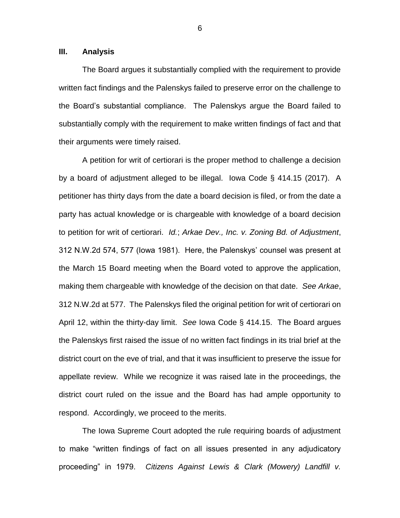## **III. Analysis**

The Board argues it substantially complied with the requirement to provide written fact findings and the Palenskys failed to preserve error on the challenge to the Board's substantial compliance. The Palenskys argue the Board failed to substantially comply with the requirement to make written findings of fact and that their arguments were timely raised.

A petition for writ of certiorari is the proper method to challenge a decision by a board of adjustment alleged to be illegal. Iowa Code § 414.15 (2017). A petitioner has thirty days from the date a board decision is filed, or from the date a party has actual knowledge or is chargeable with knowledge of a board decision to petition for writ of certiorari. *Id.*; *Arkae Dev., Inc. v. Zoning Bd. of Adjustment*, 312 N.W.2d 574, 577 (Iowa 1981). Here, the Palenskys' counsel was present at the March 15 Board meeting when the Board voted to approve the application, making them chargeable with knowledge of the decision on that date. *See Arkae*, 312 N.W.2d at 577. The Palenskys filed the original petition for writ of certiorari on April 12, within the thirty-day limit. *See* Iowa Code § 414.15. The Board argues the Palenskys first raised the issue of no written fact findings in its trial brief at the district court on the eve of trial, and that it was insufficient to preserve the issue for appellate review. While we recognize it was raised late in the proceedings, the district court ruled on the issue and the Board has had ample opportunity to respond. Accordingly, we proceed to the merits.

The Iowa Supreme Court adopted the rule requiring boards of adjustment to make "written findings of fact on all issues presented in any adjudicatory proceeding" in 1979. *Citizens Against Lewis & Clark (Mowery) Landfill v.*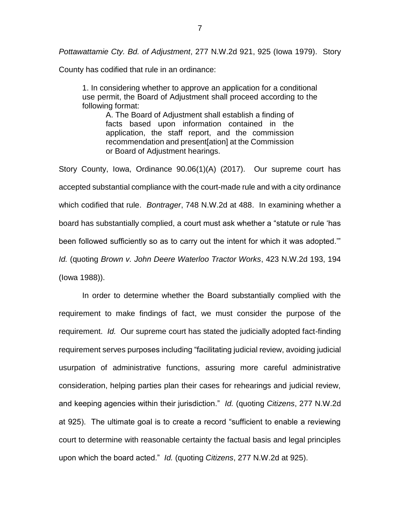*Pottawattamie Cty. Bd. of Adjustment*, 277 N.W.2d 921, 925 (Iowa 1979). Story

County has codified that rule in an ordinance:

1. In considering whether to approve an application for a conditional use permit, the Board of Adjustment shall proceed according to the following format:

> A. The Board of Adjustment shall establish a finding of facts based upon information contained in the application, the staff report, and the commission recommendation and present[ation] at the Commission or Board of Adjustment hearings.

Story County, Iowa, Ordinance 90.06(1)(A) (2017). Our supreme court has accepted substantial compliance with the court-made rule and with a city ordinance which codified that rule. *Bontrager*, 748 N.W.2d at 488. In examining whether a board has substantially complied, a court must ask whether a "statute or rule 'has been followed sufficiently so as to carry out the intent for which it was adopted.'" *Id.* (quoting *Brown v. John Deere Waterloo Tractor Works*, 423 N.W.2d 193, 194 (Iowa 1988)).

In order to determine whether the Board substantially complied with the requirement to make findings of fact, we must consider the purpose of the requirement. *Id.* Our supreme court has stated the judicially adopted fact-finding requirement serves purposes including "facilitating judicial review, avoiding judicial usurpation of administrative functions, assuring more careful administrative consideration, helping parties plan their cases for rehearings and judicial review, and keeping agencies within their jurisdiction." *Id.* (quoting *Citizens*, 277 N.W.2d at 925). The ultimate goal is to create a record "sufficient to enable a reviewing court to determine with reasonable certainty the factual basis and legal principles upon which the board acted." *Id.* (quoting *Citizens*, 277 N.W.2d at 925).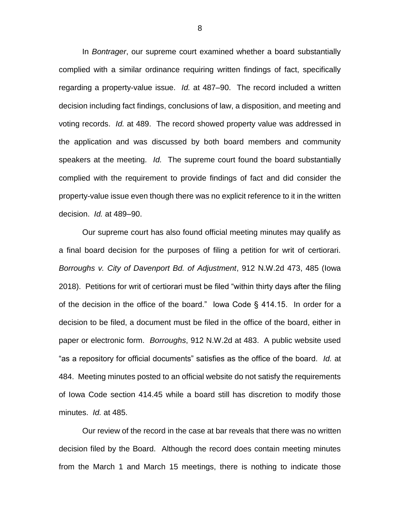In *Bontrager*, our supreme court examined whether a board substantially complied with a similar ordinance requiring written findings of fact, specifically regarding a property-value issue. *Id.* at 487–90. The record included a written decision including fact findings, conclusions of law, a disposition, and meeting and voting records. *Id.* at 489. The record showed property value was addressed in the application and was discussed by both board members and community speakers at the meeting. *Id.* The supreme court found the board substantially complied with the requirement to provide findings of fact and did consider the property-value issue even though there was no explicit reference to it in the written decision. *Id.* at 489–90.

Our supreme court has also found official meeting minutes may qualify as a final board decision for the purposes of filing a petition for writ of certiorari. *Borroughs v. City of Davenport Bd. of Adjustment*, 912 N.W.2d 473, 485 (Iowa 2018). Petitions for writ of certiorari must be filed "within thirty days after the filing of the decision in the office of the board." Iowa Code § 414.15. In order for a decision to be filed, a document must be filed in the office of the board, either in paper or electronic form. *Borroughs*, 912 N.W.2d at 483. A public website used "as a repository for official documents" satisfies as the office of the board. *Id.* at 484. Meeting minutes posted to an official website do not satisfy the requirements of Iowa Code section 414.45 while a board still has discretion to modify those minutes. *Id.* at 485.

Our review of the record in the case at bar reveals that there was no written decision filed by the Board. Although the record does contain meeting minutes from the March 1 and March 15 meetings, there is nothing to indicate those